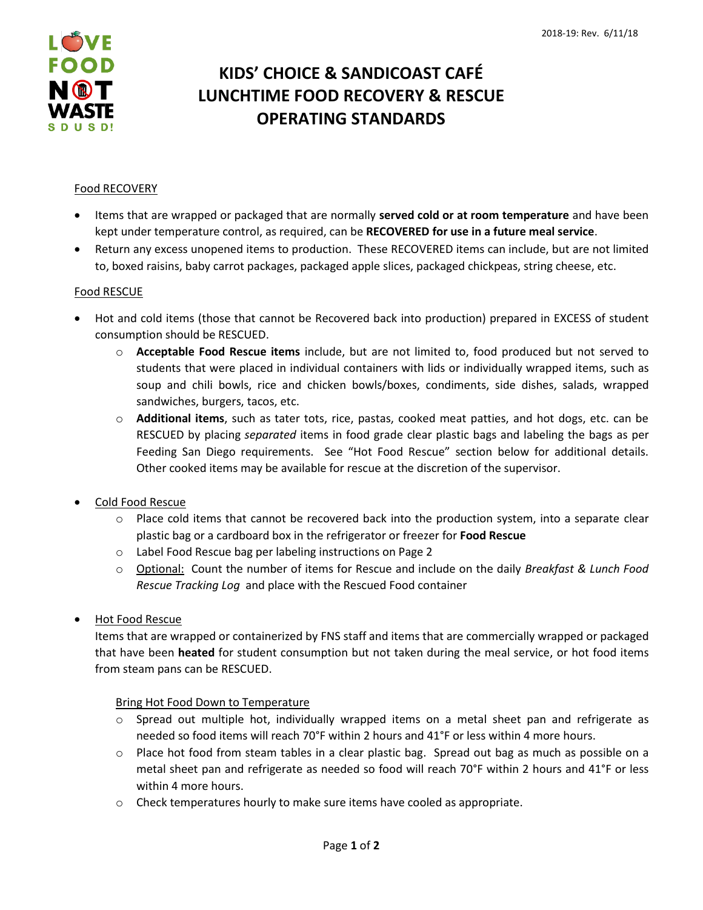

# **KIDS' CHOICE & SANDICOAST CAFÉ LUNCHTIME FOOD RECOVERY & RESCUE OPERATING STANDARDS**

## Food RECOVERY

- Items that are wrapped or packaged that are normally **served cold or at room temperature** and have been kept under temperature control, as required, can be **RECOVERED for use in a future meal service**.
- Return any excess unopened items to production. These RECOVERED items can include, but are not limited to, boxed raisins, baby carrot packages, packaged apple slices, packaged chickpeas, string cheese, etc.

### Food RESCUE

- Hot and cold items (those that cannot be Recovered back into production) prepared in EXCESS of student consumption should be RESCUED.
	- o **Acceptable Food Rescue items** include, but are not limited to, food produced but not served to students that were placed in individual containers with lids or individually wrapped items, such as soup and chili bowls, rice and chicken bowls/boxes, condiments, side dishes, salads, wrapped sandwiches, burgers, tacos, etc.
	- o **Additional items**, such as tater tots, rice, pastas, cooked meat patties, and hot dogs, etc. can be RESCUED by placing *separated* items in food grade clear plastic bags and labeling the bags as per Feeding San Diego requirements. See "Hot Food Rescue" section below for additional details. Other cooked items may be available for rescue at the discretion of the supervisor.
- Cold Food Rescue
	- $\circ$  Place cold items that cannot be recovered back into the production system, into a separate clear plastic bag or a cardboard box in the refrigerator or freezer for **Food Rescue**
	- o Label Food Rescue bag per labeling instructions on Page 2
	- o Optional: Count the number of items for Rescue and include on the daily *Breakfast & Lunch Food Rescue Tracking Log* and place with the Rescued Food container
- Hot Food Rescue

Items that are wrapped or containerized by FNS staff and items that are commercially wrapped or packaged that have been **heated** for student consumption but not taken during the meal service, or hot food items from steam pans can be RESCUED.

### Bring Hot Food Down to Temperature

- $\circ$  Spread out multiple hot, individually wrapped items on a metal sheet pan and refrigerate as needed so food items will reach 70°F within 2 hours and 41°F or less within 4 more hours.
- o Place hot food from steam tables in a clear plastic bag. Spread out bag as much as possible on a metal sheet pan and refrigerate as needed so food will reach 70°F within 2 hours and 41°F or less within 4 more hours.
- $\circ$  Check temperatures hourly to make sure items have cooled as appropriate.